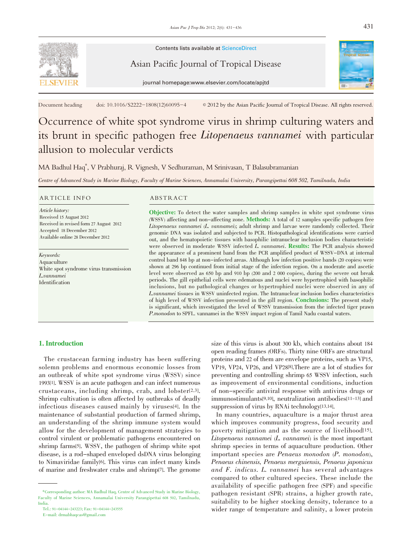

Contents lists available at ScienceDirect

Asian Pacific Journal of Tropical Disease

journal homepage:www.elsevier.com/locate/apjtd



Document heading doi: 10.1016/S2222-1808(12)60095-4  $\degree$  2012 by the Asian Pacific Journal of Tropical Disease. All rights reserved.

# Occurrence of white spot syndrome virus in shrimp culturing waters and its brunt in specific pathogen free Litopenaeus vannamei with particular allusion to molecular verdicts

MA Badhul Haq\* , V Prabhuraj, R Vignesh, V Sedhuraman, M Srinivasan, T Balasubramanian

Centre of Advanced Study in Marine Biology, Faculty of Marine Sciences, Annamalai University, Parangipettai 608 502, Tamilnadu, India

#### ARTICLE INFO ABSTRACT

Article history: Received 15 August 2012 Received in revised form 27 August 2012 Accepted 18 December 2012 Available online 28 December 2012

Keywords: Aquaculture White spot syndrome virus transmission L.vannamei Identification

Objective: To detect the water samples and shrimp samples in white spot syndrome virus (WSSV) affecting and non-affecting zone. Methods: A total of 12 samples specific pathogen free Litopenaeus vannamei (L. vannamei); adult shrimp and larvae were randomly collected. Their genomic DNA was isolated and subjected to PCR. Histopathological identifications were carried out, and the hematopoietic tissues with basophilic intranuclear inclusion bodies characteristic were observed in moderate WSSV infected L. vannamei. Results: The PCR analysis showed the appearance of a prominent band from the PCR amplified product of WSSV-DNA at internal control band 848 bp at non-infected areas. Although low infection positive bands (20 copies) were shown at 296 bp continued from initial stage of the infection region. On a moderate and ascetic level were observed as 650 bp and 910 bp (200 and 2 000 copies), during the severe out break periods. The gill epithelial cells were edematous and nuclei were hypertrophied with basophilic inclusions, but no pathological changes or hypertrophied nuclei were observed in any of L.vannamei tissues in WSSV uninfected region. The Intranuclear inclusion bodies characteristics of high level of WSSV infection presented in the gill region. Conclusions: The present study is significant, which investigated the level of WSSV transmission from the infected tiger prawn P.monodon to SPFL. vannamei in the WSSV impact region of Tamil Nadu coastal waters.

### 1. Introduction

 The crustacean farming industry has been suffering solemn problems and enormous economic losses from an outbreak of white spot syndrome virus (WSSV) since 1993[1]. WSSV is an acute pathogen and can infect numerous crustaceans, including shrimp, crab, and lobster[2,3]. Shrimp cultivation is often affected by outbreaks of deadly infectious diseases caused mainly by viruses[4]. In the maintenance of substantial production of farmed shrimp, an understanding of the shrimp immune system would allow for the development of management strategies to control virulent or problematic pathogens encountered on shrimp farms[5]. WSSV, the pathogen of shrimp white spot disease, is a rod-shaped enveloped dsDNA virus belonging to Nimaviridae family[6]. This virus can infect many kinds of marine and freshwater crabs and shrimp[7]. The genome

size of this virus is about 300 kb, which contains about 184 open reading frames (ORFs). Thirty nine ORFs are structural proteins and 22 of them are envelope proteins, such as VP15, VP19, VP24, VP26, and VP28[8].There are a lot of studies for preventing and controlling shrimp 65 WSSV infection, such as improvement of environmental conditions, induction of non-specific antiviral response with antivirus drugs or immunostimulants[9,10], neutralization antibodies[11-13] and suppression of virus by RNAi technology<sup>[13,14]</sup>.

 In many countries, aquaculture is a major thrust area which improves community progress, food security and poverty mitigation and as the source of livelihood<sup>[15]</sup>. Litopenaeus vannamei (L. vannamei) is the most important shrimp species in terms of aquaculture production. Other important species are Penaeus monodon (P. monodon), Penaeus chinensis, Penaeus merguiensis, Penaeus japonicus and F. indicus. L. vannamei has several advantages compared to other cultured species. These include the availability of specific pathogen free (SPF) and specific pathogen resistant (SPR) strains, a higher growth rate, suitability to be higher stocking density, tolerance to a wider range of temperature and salinity, a lower protein

 <sup>\*</sup>Corresponding author: MA Badhul Haq, Centre of Advanced Study in Marine Biology, Faculty of Marine Sciences, Annamalai University Parangipettai 608 502, Tamilnadu, India.

Tel.: 91-04144-243223; Fax: 91-04144-243555

E-mail: drmabhaqcas@gmail.com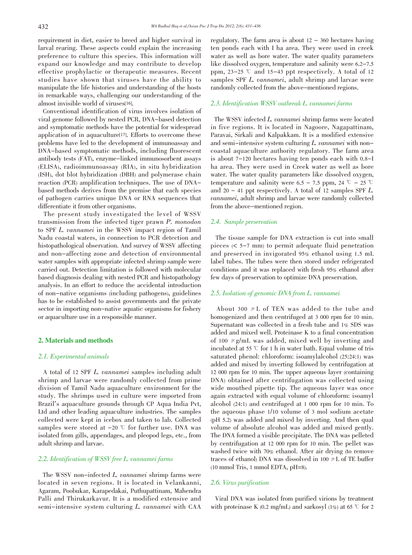requirement in diet, easier to breed and higher survival in larval rearing. These aspects could explain the increasing preference to culture this species. This information will expand our knowledge and may contribute to develop effective prophylactic or therapeutic measures. Recent studies have shown that viruses have the ability to manipulate the life histories and understanding of the hosts in remarkable ways, challenging our understanding of the almost invisible world of viruses[16].

 Conventional identification of virus involves isolation of viral genome followed by nested PCR, DNA-based detection and symptomatic methods have the potential for widespread application of in aquaculture[17]. Efforts to overcome these problems have led to the development of immunoassay and DNA-based symptomatic methods, including fluorescent antibody tests (FAT), enzyme-linked immunosorbent assays (ELISA), radioimmunoassay (RIA), in situ hybridization (ISH), dot blot hybridization (DBH) and polymerase chain reaction (PCR) amplification techniques. The use of DNAbased methods derives from the premise that each species of pathogen carries unique DNA or RNA sequences that differentiate it from other organisms.

 The present study investigated the level of WSSV transmission from the infected tiger prawn P. monodon to SPF L. vannamei in the WSSV impact region of Tamil Nadu coastal waters, in connection to PCR detection and histopathological observation. And survey of WSSV affecting and non-affecting zone and detection of environmental water samples with appropriate infected shrimp sample were carried out. Detection limitation is followed with molecular based diagnosis dealing with nested PCR and histopathology analysis. In an effort to reduce the accidental introduction of non-native organisms (including pathogens), guidelines has to be established to assist governments and the private sector in importing non-native aquatic organisms for fishery or aquaculture use in a responsible manner.

### 2. Materials and methods

#### 2.1. Experimental animals

 A total of 12 SPF L. vannamei samples including adult shrimp and larvae were randomly collected from prime division of Tamil Nadu aquaculture environment for the study. The shrimps used in culture were imported from Brazil's aquaculture grounds through CP Aqua India Pvt, Ltd and other leading aquaculture industries. The samples collected were kept in icebox and taken to lab. Collected samples were stored at  $-20$  °C for further use. DNA was isolated from gills, appendages, and pleopod legs, etc., from adult shrimp and larvae.

### 2.2. Identification of WSSV free L. vannamei farms

 The WSSV non-infected L. vannamei shrimp farms were located in seven regions. It is located in Velankanni, Agaram, Poobukar, Karapedakai, Puthupattinam, Mahendra Palli and Thirukarkavur. It is a modified extensive and semi-intensive system culturing L. vannamei with CAA

regulatory. The farm area is about  $12 - 360$  hectares having ten ponds each with I ha area. They were used in creek water as well as bore water. The water quality parameters like dissolved oxygen, temperature and salinity were 6.2-7.5 ppm,  $23-25$  °C and  $15-43$  ppt respectively. A total of 12 samples SPF L. vannamei, adult shrimp and larvae were randomly collected from the above-mentioned regions.

### 2.3. Identification WSSV outbreak L. vannamei farms

 The WSSV infected L. vannamei shrimp farms were located in five regions. It is located in Nagoore, Nagapattinam, Paravai, Sirkali and Kalpakkam. It is a modified extensive and semi-intensive system culturing L. vannamei with noncoastal aquaculture authority regulatory. The farm area is about 7-120 hectares having ten ponds each with 0.8-I ha area. They were used in Creek water as well as bore water. The water quality parameters like dissolved oxygen, temperature and salinity were 6.5 - 7.5 ppm, 24  $^{\circ}\text{C}$  - 25  $^{\circ}\text{C}$ and  $20 - 41$  ppt respectively. A total of 12 samples SPF L. vannamei, adult shrimp and larvae were randomly collected from the above-mentioned region.

### 2.4. Sample preservation

 The tissue sample for DNA extraction is cut into small pieces  $( $5-7$  mm) to permit adequate fluid penetration$ and preserved in invigorated 95% ethanol using 1.5 mL label tubes. The tubes were then stored under refrigerated conditions and it was replaced with fresh 95% ethanol after few days of preservation to optimize DNA preservation.

## 2.5. Isolation of genomic DNA from L. vannamei

About 300  $\mu$  L of TEN was added to the tube and homogenized and then centrifuged at 3 000 rpm for 10 min. Supernatant was collected in a fresh tube and 1% SDS was added and mixed well. Proteinase K to a final concentration of 100  $\mu$  g/mL was added, mixed well by inverting and incubated at 55  $\degree$  for 1 h in water bath. Equal volume of tris saturated phenol: chloroform: isoamylalcohol (25:24:1) was added and mixed by inverting followed by centrifugation at 12 000 rpm for 10 min. The upper aqueous layer (containing DNA) obtained after centrifugation was collected using wide mouthed pipette tip. The aqueous layer was once again extracted with equal volume of chloroform: isoamyl alcohol (24:1) and centrifuged at 1 000 rpm for 10 min. To the aqueous phase 1/10 volume of 3 mol sodium acetate (pH 5.2) was added and mixed by inverting. And then qual volume of absolute alcohol was added and mixed gently. The DNA formed a visible precipitate. The DNA was pelleted by centrifugation at 12 000 rpm for 10 min. The pellet was washed twice with 70% ethanol. After air drying (to remove traces of ethanol) DNA was dissolved in 100  $\mu$ L of TE buffer (10 mmol Tris, 1 mmol EDTA, pH=8).

### 2.6. Virus purification

 Viral DNA was isolated from purified virions by treatment with proteinase K (0.2 mg/mL) and sarkosyl (1%) at 65  $\degree$  for 2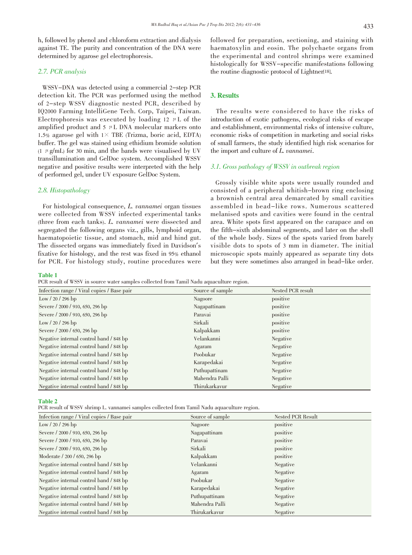h, followed by phenol and chloroform extraction and dialysis against TE. The purity and concentration of the DNA were determined by agarose gel electrophoresis.

### 2.7. PCR analysis

 WSSV-DNA was detected using a commercial 2-step PCR detection kit. The PCR was performed using the method of 2-step WSSV diagnostic nested PCR, described by IQ2000 Farming IntelliGene Tech. Corp, Taipei, Taiwan. Electrophoresis was executed by loading 12  $\mu$ L of the amplified product and  $5 \mu L$  DNA molecular markers onto 1.5% agarose gel with  $1 \times$  TBE (Trizma, boric acid, EDTA) buffer. The gel was stained using ethidium bromide solution  $(1 \mu$  g/mL) for 30 min, and the bands were visualised by UV transillumination and GelDoc system. Accomplished WSSV negative and positive results were interpreted with the help of performed gel, under UV exposure GelDoc System.

### 2.8. Histopathology

 For histological consequence, L. vannamei organ tissues were collected from WSSV infected experimental tanks (three from each tanks). L. vannamei were dissected and segregated the following organs viz., gills, lymphoid organ, haematopoietic tissue, and stomach, mid and hind gut. The dissected organs was immediately fixed in Davidson's fixative for histology, and the rest was fixed in 95% ethanol for PCR. For histology study, routine procedures were

### Table 1

PCR result of WSSV in source water samples collected from Tamil Nadu aquaculture region.

| Infection range / Viral copies / Base pair | Source of sample | Nested PCR result |
|--------------------------------------------|------------------|-------------------|
| Low $/$ 20 $/$ 296 bp                      | Nagoore          | positive          |
| Severe / 2000 / 910, 650, 296 bp           | Nagapattinam     | positive          |
| Severe / 2000 / 910, 650, 296 bp           | Paravai          | positive          |
| Low $/$ 20 $/$ 296 bp                      | Sirkali          | positive          |
| Severe / 2000 / 650, 296 bp                | Kalpakkam        | positive          |
| Negative internal control band / 848 bp    | Velankanni       | Negative          |
| Negative internal control band / 848 bp    | Agaram           | Negative          |
| Negative internal control band / 848 bp    | Poobukar         | Negative          |
| Negative internal control band / 848 bp    | Karapedakai      | Negative          |
| Negative internal control band / 848 bp    | Puthupattinam    | Negative          |
| Negative internal control band / 848 bp    | Mahendra Palli   | Negative          |
| Negative internal control band / 848 bp    | Thirukarkavur    | Negative          |

#### Table 2

PCR result of WSSV shrimp L. vannamei samples collected from Tamil Nadu aquaculture region.

| Infection range / Viral copies / Base pair | Source of sample | Nested PCR Result |
|--------------------------------------------|------------------|-------------------|
| Low $/$ 20 $/$ 296 bp                      | Nagoore          | positive          |
| Severe / 2000 / 910, 650, 296 bp           | Nagapattinam     | positive          |
| Severe / 2000 / 910, 650, 296 bp           | Paravai          | positive          |
| Severe / 2000 / 910, 650, 296 bp           | Sirkali          | positive          |
| Moderate / 200 / 650, 296 bp               | Kalpakkam        | positive          |
| Negative internal control band / 848 bp    | Velankanni       | Negative          |
| Negative internal control band / 848 bp    | Agaram           | Negative          |
| Negative internal control band / 848 bp    | Poobukar         | Negative          |
| Negative internal control band / 848 bp    | Karapedakai      | Negative          |
| Negative internal control band / 848 bp    | Puthupattinam    | Negative          |
| Negative internal control band / 848 bp    | Mahendra Palli   | Negative          |
| Negative internal control band / 848 bp    | Thirukarkavur    | Negative          |

### 3. Results

 The results were considered to have the risks of introduction of exotic pathogens, ecological risks of escape and establishment, environmental risks of intensive culture, economic risks of competition in marketing and social risks of small farmers, the study identified high risk scenarios for the import and culture of L. vannamei.

### 3.1. Gross pathology of WSSV in outbreak region

 Grossly visible white spots were usually rounded and consisted of a peripheral whitish-brown ring enclosing a brownish central area demarcated by small cavities assembled in bead-like rows. Numerous scattered melanised spots and cavities were found in the central area. White spots first appeared on the carapace and on the fifth-sixth abdominal segments, and later on the shell of the whole body. Sizes of the spots varied from barely visible dots to spots of 3 mm in diameter. The initial microscopic spots mainly appeared as separate tiny dots but they were sometimes also arranged in bead-like order.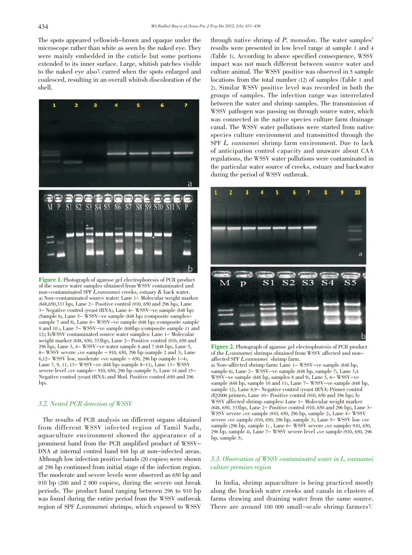The spots appeared yellowish-brown and opaque under the microscope rather than white as seen by the naked eye. They were mainly embedded in the cuticle but some portions extended to its inner surface. Large, whitish patches visible to the naked eye also<sup>c</sup>curred when the spots enlarged and coalesced, resulting in an overall whitish discoloration of the shell.



Figure 1. Photograph of agarose gel electrophoresis of PCR product of the source water samples obtained from WSSV contaminated and non-contaminated SPF  $\hat{L}$ vannamei creeks, estuary  $\&$  back water. a) Non-contaminated source water: Lane 1- Molecular weight marker (848,650,333 bp), Lane 2- Positive control (910, 650 and 296 bp), Lane 3- Negative control (yeast tRNA), Lane 4- WSSV-ve sample (848 bp) (Sample 6), Lane 5- WSSV-ve sample (848 bp) (composite samplessample 7 and 8), Lane 6- WSSV-ve sample (848 bp) (composite sample 9 and 10 ), Lane 7- WSSV-ve sample (848bp) (composite sample 11 and 12); b)WSSV contaminated source water samples: Lane 1- Molecular weight marker (848, 650, 333bp), Lane 2- Positive control (910, 650 and 296 bp), Lane 3, 4- WSSV-ve water sample 6 and 7 (848 bp), Lane 5, 8- WSSV severe +ve sample  $-910$ , 650, 296 bp (sample 2 and 3), Lane 6,12– WSSV low, moderate +ve sample  $-$  650, 296 bp (sample 1–4), Lane 7, 9, 11, 13– WSSV-ve  $(848 \text{ bp})$  (sample  $8-11$ ), Lane  $13-$  WSSV severe level +ve sample- 910, 650, 296 bp (sample 5), Lane 14 and 15-Negative control (yeast tRNA) and Mod. Positive control (650 and 296 bp).

### 3.2. Nested PCR detection of WSSV

 The results of PCR analysis on different organs obtained from different WSSV infected region of Tamil Nadu, aquaculture environment showed the appearance of a prominent band from the PCR amplified product of WSSV-DNA at internal control band 848 bp at non-infected areas. Although low infection positive bands (20 copies) were shown at 296 bp continued from initial stage of the infection region. The moderate and severe levels were observed as 650 bp and 910 bp (200 and 2 000 copies), during the severe out break periods. The product band ranging between 296 to 910 bp was found during the entire period from the WSSV outbreak region of SPF L.vannamei shrimps, which exposed to WSSV

through native shrimp of P. monodon. The water samples' results were presented in low level range at sample 1 and 4 (Table 1). According to above specified consequence, WSSV impact was not much different between source water and culture animal. The WSSV positive was observed in 5 sample locations from the total number (12) of samples (Table 1 and 2). Similar WSSV positive level was recorded in both the groups of samples. The infection range was interrelated between the water and shrimp samples. The transmission of WSSV pathogen was passing on through source water, which was connected in the native species culture farm drainage canal. The WSSV water pollutions were started from native species culture environment and transmitted through the SPF L. vannamei shrimp farm environment. Due to lack of anticipation control capacity and unaware about CAA regulations, the WSSV water pollutions were contaminated in the particular water source of creeks, estuary and backwater during the period of WSSV outbreak.



Figure 2. Photograph of agarose gel electrophoresis of PCR product of the Lvannamei shrimps obtained from WSSV affected and nonaffected SPF L.vannamei shrimp farm.

a) Non-affected shrimp farm: Lane 1- WSSV-ve sample (848 bp, sample 6), Lane 2- WSSV-ve sample (848 bp, sample 7), Lane 3,4 WSSV-ve sample (848 bp, samples 8 and 9), Lane 5, 6- WSSV-ve sample (848 bp, sample 10 and 11), Lane 7– WSSV-ve sample (848 bp, sample 12), Lane 8,9- Negative control (yeast tRNA) Primer control (IQ2000 primer), Lane 10- Positive control (910, 650 and 296 bp); b) WSSV affected shrimp samples: Lane 1- Molecular weight marker (848, 650, 333bp), Lane 2- Positive control (910, 650 and 296 bp), Lane 3- WSSV severe +ve sample (910, 650, 296 bp, sample 2), Lane 4- WSSV severe +ve sample (910, 650, 296 bp, sample 3), Lane 5- WSSV low +ve sample (296 bp, sample 1), Lane  $6-$  WSSV severe +ve sample( 910, 650, 296 bp, sample 4), Lane 7- WSSV severe level +ve sample (910, 650, 296 bp, sample 5).

### 3.3. Observation of WSSV contaminated water in L. vannamei culture premises region

 In India, shrimp aquaculture is being practiced mostly along the brackish water creeks and canals in clusters of farms drawing and draining water from the same source. There are around 100 000 small-scale shrimp farmers ${}^{\circ}\text{C}$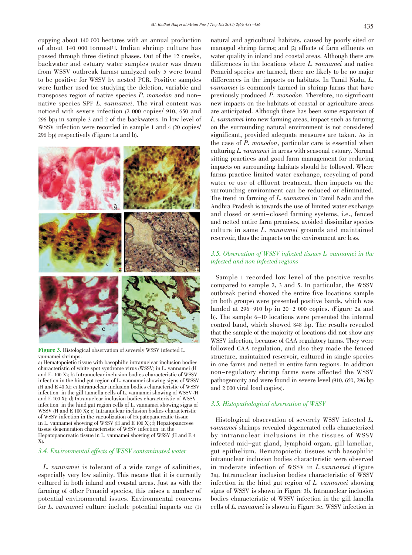cupying about 140 000 hectares with an annual production of about 140 000 tonnes[1]. Indian shrimp culture has passed through three distinct phases. Out of the 12 creeks, backwater and estuary water samples (water was drawn from WSSV outbreak farms) analyzed only 5 were found to be positive for WSSV by nested PCR. Positive samples were further used for studying the deletion, variable and transposes region of native species P. monodon and nonnative species SPF L. vannamei. The viral content was noticed with severe infection (2 000 copies/ 910, 650 and 296 bp) in sample 3 and 2 of the backwaters. In low level of WSSV infection were recorded in sample 1 and 4 (20 copies/ 296 bp) respectively (Figure 1a and b).



Figure 3. Histological observation of severely WSSV infected L. vannamei shrimps.

a) Hematopoietic tissue with basophilic intranuclear inclusion bodies characteristic of white spot syndrome virus (WSSV) in L. vannamei (H and E. 100 X); b) Intranuclear inclusion bodies characteristic of WSSV infection in the hind gut region of L. vannamei showing signs of WSSV (H and E 40 X); c) Intranuclear inclusion bodies characteristic of WSSV infection in the gill Lamella cells of L. vannamei showing of WSSV (H and E 100 X); d) Intranuclear inclusion bodies characteristic of WSSV infection in the hind gut region cells of L. vannamei showing signs of WSSV (H and E 100 X); e) Intranuclear inclusion bodies characteristic of WSSV infection in the vacuolization of Hepatopancreatic tissue in L. vannamei showing of WSSV (H and E 100 X); f) Hepatopancrese tissue degeneration characteristic of WSSV infection in the Hepatopancreatic tissue in L. vannamei showing of WSSV (H and E 4 X).

### 3.4. Environmental effects of WSSV contaminated water

 L. vannamei is tolerant of a wide range of salinities, especially very low salinity. This means that it is currently cultured in both inland and coastal areas. Just as with the farming of other Penaeid species, this raises a number of potential environmental issues. Environmental concerns for L. vannamei culture include potential impacts on: (1)

natural and agricultural habitats, caused by poorly sited or managed shrimp farms; and (2) effects of farm effluents on water quality in inland and coastal areas. Although there are differences in the locations where L. vannamei and native Penaeid species are farmed, there are likely to be no major differences in the impacts on habitats. In Tamil Nadu, L. vannamei is commonly farmed in shrimp farms that have previously produced P. monodon. Therefore, no significant new impacts on the habitats of coastal or agriculture areas are anticipated. Although there has been some expansion of L. vannamei into new farming areas, impact such as farming on the surrounding natural environment is not considered significant, provided adequate measures are taken. As in the case of P. monodon, particular care is essential when culturing L. vannamei in areas with seasonal estuary. Normal sitting practices and good farm management for reducing impacts on surrounding habitats should be followed. Where farms practice limited water exchange, recycling of pond water or use of effluent treatment, then impacts on the surrounding environment can be reduced or eliminated. The trend in farming of L. vannamei in Tamil Nadu and the Andhra Pradesh is towards the use of limited water exchange and closed or semi-closed farming systems, i.e., fenced and netted entire farm premises, avoided dissimilar species culture in same L. vannamei grounds and maintained reservoir, thus the impacts on the environment are less.

### 3.5. Observation of WSSV infected tissues L. vannamei in the infected and non infected regions

 Sample 1 recorded low level of the positive results compared to sample 2, 3 and 5. In particular, the WSSV outbreak period showed the entire five locations sample (in both groups) were presented positive bands, which was landed at 296-910 bp in 20-2 000 copies. (Figure 2a and b). The sample 6-10 locations were presented the internal control band, which showed 848 bp. The results revealed that the sample of the majority of locations did not show any WSSV infection, because of CAA regulatory farms. They were followed CAA regulation, and also they made the fenced structure, maintained reservoir, cultured in single species in one farms and netted in entire farm regions. In addition non-regulatory shrimp farms were affected the WSSV pathogenicity and were found in severe level (910, 650, 296 bp and 2 000 viral load copies).

## 3.5. Histopathological observation of WSSV

 Histological observation of severely WSSV infected L. vannamei shrimps revealed degenerated cells characterized by intranuclear inclusions in the tissues of WSSV infected mid-gut gland, lymphoid organ, gill lamellae, gut epithelium. Hematopoietic tissues with basophilic intranuclear inclusion bodies characteristic were observed in moderate infection of WSSV in L.vannamei (Figure 3a). Intranuclear inclusion bodies characteristic of WSSV infection in the hind gut region of L. vannamei showing signs of WSSV is shown in Figure 3b. Intranuclear inclusion bodies characteristic of WSSV infection in the gill lamella cells of L. vannamei is shown in Figure 3c. WSSV infection in